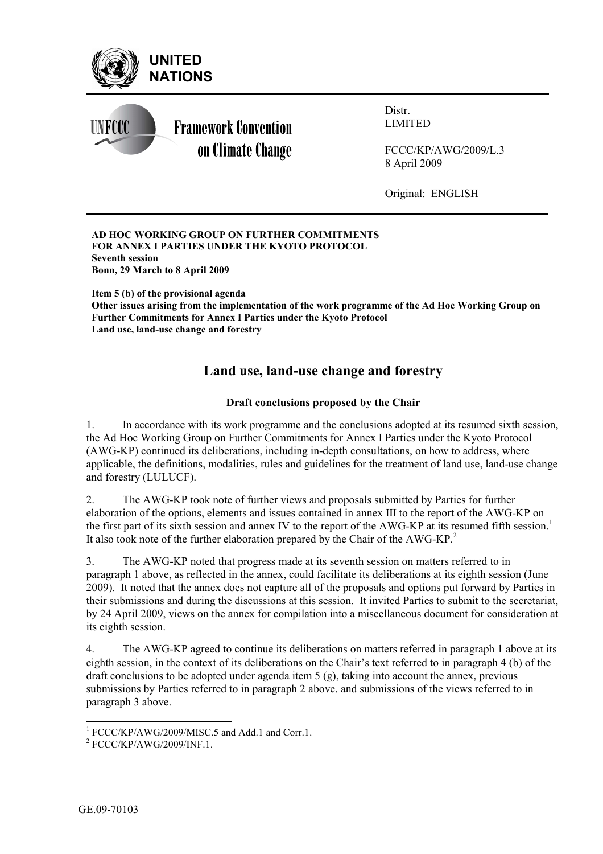

#### **AD HOC WORKING GROUP ON FURTHER COMMITMENTS FOR ANNEX I PARTIES UNDER THE KYOTO PROTOCOL Seventh session Bonn, 29 March to 8 April 2009**

**Item 5 (b) of the provisional agenda Other issues arising from the implementation of the work programme of the Ad Hoc Working Group on Further Commitments for Annex I Parties under the Kyoto Protocol Land use, land-use change and forestry** 

# **Land use, land-use change and forestry**

# **Draft conclusions proposed by the Chair**

1. In accordance with its work programme and the conclusions adopted at its resumed sixth session, the Ad Hoc Working Group on Further Commitments for Annex I Parties under the Kyoto Protocol (AWG-KP) continued its deliberations, including in-depth consultations, on how to address, where applicable, the definitions, modalities, rules and guidelines for the treatment of land use, land-use change and forestry (LULUCF).

2. The AWG-KP took note of further views and proposals submitted by Parties for further elaboration of the options, elements and issues contained in annex III to the report of the AWG-KP on the first part of its sixth session and annex IV to the report of the AWG-KP at its resumed fifth session.<sup>1</sup> It also took note of the further elaboration prepared by the Chair of the AWG-KP.<sup>2</sup>

3. The AWG-KP noted that progress made at its seventh session on matters referred to in paragraph 1 above, as reflected in the annex, could facilitate its deliberations at its eighth session (June 2009). It noted that the annex does not capture all of the proposals and options put forward by Parties in their submissions and during the discussions at this session. It invited Parties to submit to the secretariat, by 24 April 2009, views on the annex for compilation into a miscellaneous document for consideration at its eighth session.

4. The AWG-KP agreed to continue its deliberations on matters referred in paragraph 1 above at its eighth session, in the context of its deliberations on the Chair's text referred to in paragraph  $(4)(b)$  of the draft conclusions to be adopted under agenda item 5 (g), taking into account the annex, previous submissions by Parties referred to in paragraph 2 above. and submissions of the views referred to in paragraph 3 above.

<sup>&</sup>lt;sup>1</sup> FCCC/KP/AWG/2009/MISC.5 and Add.1 and Corr.1.<br><sup>2</sup> ECCC/KP/AWG/2000/INE 1

 $2$  FCCC/KP/AWG/2009/INF.1.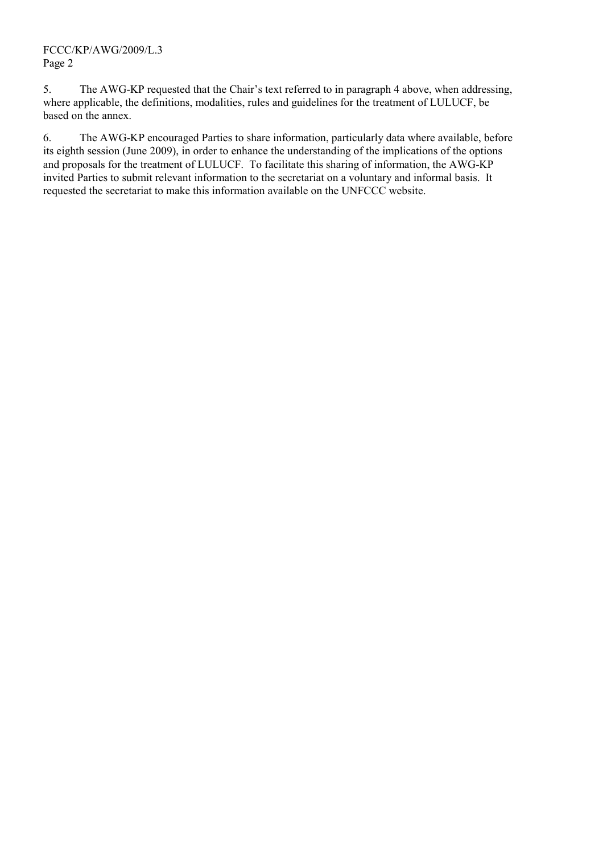5. The AWG-KP requested that the Chair's text referred to in paragraph 4 above, when addressing, where applicable, the definitions, modalities, rules and guidelines for the treatment of LULUCF, be based on the annex.

6. The AWG-KP encouraged Parties to share information, particularly data where available, before its eighth session (June 2009), in order to enhance the understanding of the implications of the options and proposals for the treatment of LULUCF. To facilitate this sharing of information, the AWG-KP invited Parties to submit relevant information to the secretariat on a voluntary and informal basis. It requested the secretariat to make this information available on the UNFCCC website.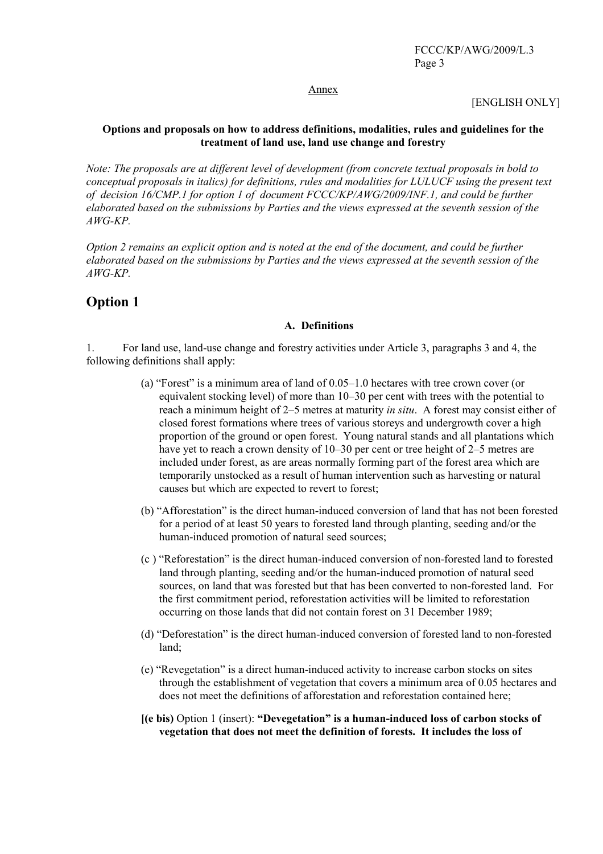#### Annex

[ENGLISH ONLY]

#### **Options and proposals on how to address definitions, modalities, rules and guidelines for the treatment of land use, land use change and forestry**

*Note: The proposals are at different level of development (from concrete textual proposals in bold to conceptual proposals in italics) for definitions, rules and modalities for LULUCF using the present text of decision 16/CMP.1 for option 1 of document FCCC/KP/AWG/2009/INF.1, and could be further elaborated based on the submissions by Parties and the views expressed at the seventh session of the AWG-KP.* 

*Option 2 remains an explicit option and is noted at the end of the document, and could be further elaborated based on the submissions by Parties and the views expressed at the seventh session of the AWG-KP.* 

# **Option 1**

#### **A. Definitions**

1. For land use, land-use change and forestry activities under Article 3, paragraphs 3 and 4, the following definitions shall apply:

- (a) "Forest" is a minimum area of land of  $0.05-1.0$  hectares with tree crown cover (or equivalent stocking level) of more than 10–30 per cent with trees with the potential to reach a minimum height of 2–5 metres at maturity *in situ*. A forest may consist either of closed forest formations where trees of various storeys and undergrowth cover a high proportion of the ground or open forest. Young natural stands and all plantations which have yet to reach a crown density of  $10-30$  per cent or tree height of  $2-5$  metres are included under forest, as are areas normally forming part of the forest area which are temporarily unstocked as a result of human intervention such as harvesting or natural causes but which are expected to revert to forest;
- (b) "Afforestation" is the direct human-induced conversion of land that has not been forested for a period of at least 50 years to forested land through planting, seeding and/or the human-induced promotion of natural seed sources;
- (c) "Reforestation" is the direct human-induced conversion of non-forested land to forested land through planting, seeding and/or the human-induced promotion of natural seed sources, on land that was forested but that has been converted to non-forested land. For the first commitment period, reforestation activities will be limited to reforestation occurring on those lands that did not contain forest on 31 December 1989;
- (d) "Deforestation" is the direct human-induced conversion of forested land to non-forested land;
- (e) "Revegetation" is a direct human-induced activity to increase carbon stocks on sites through the establishment of vegetation that covers a minimum area of 0.05 hectares and does not meet the definitions of afforestation and reforestation contained here;
- **[(e bis)** Option 1 (insert): "Devegetation" is a human-induced loss of carbon stocks of **vegetation that does not meet the definition of forests. It includes the loss of**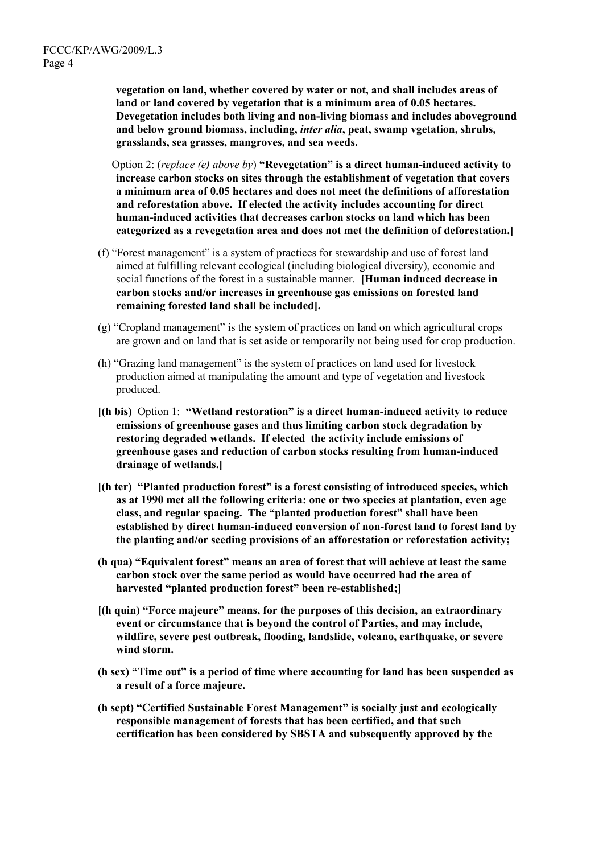**vegetation on land, whether covered by water or not, and shall includes areas of land or land covered by vegetation that is a minimum area of 0.05 hectares. Devegetation includes both living and non-living biomass and includes aboveground and below ground biomass, including,** *inter alia***, peat, swamp vgetation, shrubs, grasslands, sea grasses, mangroves, and sea weeds.** 

*<u>Option 2: (replace (e) above by) <b>Revegetation* is a direct human-induced activity to</u> **increase carbon stocks on sites through the establishment of vegetation that covers a minimum area of 0.05 hectares and does not meet the definitions of afforestation and reforestation above. If elected the activity includes accounting for direct human-induced activities that decreases carbon stocks on land which has been categorized as a revegetation area and does not met the definition of deforestation.]** 

- (f) "Forest management" is a system of practices for stewardship and use of forest land aimed at fulfilling relevant ecological (including biological diversity), economic and social functions of the forest in a sustainable manner. **[Human induced decrease in carbon stocks and/or increases in greenhouse gas emissions on forested land remaining forested land shall be included].**
- $(g)$  "Cropland management" is the system of practices on land on which agricultural crops are grown and on land that is set aside or temporarily not being used for crop production.
- $(h)$  "Grazing land management" is the system of practices on land used for livestock production aimed at manipulating the amount and type of vegetation and livestock produced.
- **[(h bis)** Option 1: "Wetland restoration" is a direct human-induced activity to reduce **emissions of greenhouse gases and thus limiting carbon stock degradation by restoring degraded wetlands. If elected the activity include emissions of greenhouse gases and reduction of carbon stocks resulting from human-induced drainage of wetlands.]**
- $[(h)$  fer) "Planted production forest" is a forest consisting of introduced species, which **as at 1990 met all the following criteria: one or two species at plantation, even age**  class, and regular spacing. The "planted production forest" shall have been **established by direct human-induced conversion of non-forest land to forest land by the planting and/or seeding provisions of an afforestation or reforestation activity;**
- **(h qua) "Equivalent forest" means an area of forest that will achieve at least the same carbon stock over the same period as would have occurred had the area of**  harvested "planted production forest" been re-established;
- **[(h quin) "Force majeure" means, for the purposes of this decision, an extraordinary event or circumstance that is beyond the control of Parties, and may include, wildfire, severe pest outbreak, flooding, landslide, volcano, earthquake, or severe wind storm.**
- **(h sex) ìTime outî is a period of time where accounting for land has been suspended as a result of a force majeure.**
- **(h sept) "Certified Sustainable Forest Management" is socially just and ecologically responsible management of forests that has been certified, and that such certification has been considered by SBSTA and subsequently approved by the**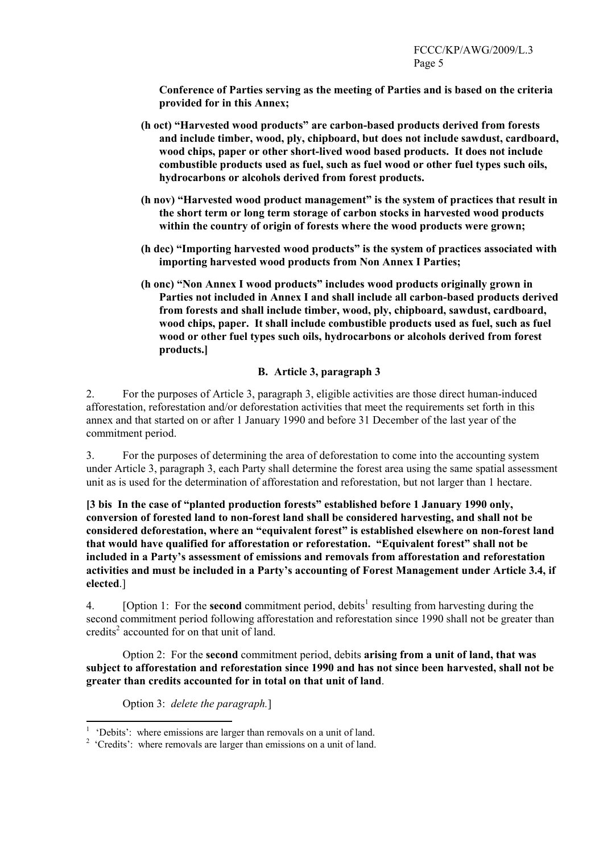**Conference of Parties serving as the meeting of Parties and is based on the criteria provided for in this Annex;** 

- **(h oct) ìHarvested wood productsî are carbon-based products derived from forests and include timber, wood, ply, chipboard, but does not include sawdust, cardboard, wood chips, paper or other short-lived wood based products. It does not include combustible products used as fuel, such as fuel wood or other fuel types such oils, hydrocarbons or alcohols derived from forest products.**
- (h nov) "Harvested wood product management" is the system of practices that result in **the short term or long term storage of carbon stocks in harvested wood products within the country of origin of forests where the wood products were grown;**
- (h dec) "Importing harvested wood products" is the system of practices associated with **importing harvested wood products from Non Annex I Parties;**
- **(h onc) "Non Annex I wood products" includes wood products originally grown in Parties not included in Annex I and shall include all carbon-based products derived from forests and shall include timber, wood, ply, chipboard, sawdust, cardboard, wood chips, paper. It shall include combustible products used as fuel, such as fuel wood or other fuel types such oils, hydrocarbons or alcohols derived from forest products.]**

## **B. Article 3, paragraph 3**

2. For the purposes of Article 3, paragraph 3, eligible activities are those direct human-induced afforestation, reforestation and/or deforestation activities that meet the requirements set forth in this annex and that started on or after 1 January 1990 and before 31 December of the last year of the commitment period.

3. For the purposes of determining the area of deforestation to come into the accounting system under Article 3, paragraph 3, each Party shall determine the forest area using the same spatial assessment unit as is used for the determination of afforestation and reforestation, but not larger than 1 hectare.

[3 bis In the case of "planted production forests" established before 1 January 1990 only, **conversion of forested land to non-forest land shall be considered harvesting, and shall not be**  considered deforestation, where an "equivalent forest" is established elsewhere on non-forest land that would have qualified for afforestation or reforestation. "Equivalent forest" shall not be **included in a Partyís assessment of emissions and removals from afforestation and reforestation**  activities and must be included in a Party's accounting of Forest Management under Article 3.4, if **elected**.]

4. [Option 1: For the **second** commitment period, debits<sup>1</sup> resulting from harvesting during the second commitment period following afforestation and reforestation since 1990 shall not be greater than credits<sup>2</sup> accounted for on that unit of land.

Option 2: For the **second** commitment period, debits **arising from a unit of land, that was subject to afforestation and reforestation since 1990 and has not since been harvested, shall not be greater than credits accounted for in total on that unit of land**.

Option 3: *delete the paragraph.*]

<sup>&</sup>lt;sup>1</sup> 'Debits': where emissions are larger than removals on a unit of land.

 $2$  'Credits': where removals are larger than emissions on a unit of land.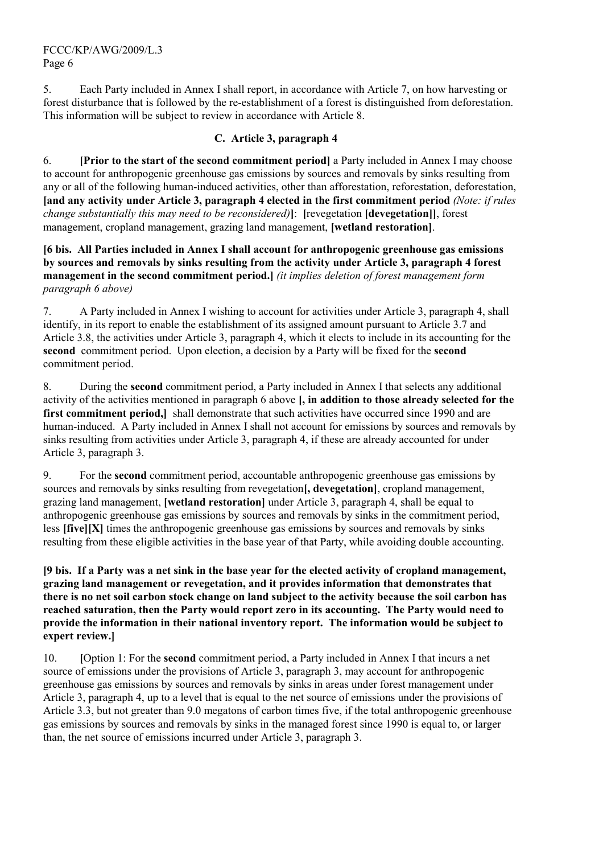5. Each Party included in Annex I shall report, in accordance with Article 7, on how harvesting or forest disturbance that is followed by the re-establishment of a forest is distinguished from deforestation. This information will be subject to review in accordance with Article 8.

# **C. Article 3, paragraph 4**

6. **[Prior to the start of the second commitment period]** a Party included in Annex I may choose to account for anthropogenic greenhouse gas emissions by sources and removals by sinks resulting from any or all of the following human-induced activities, other than afforestation, reforestation, deforestation, **[and any activity under Article 3, paragraph 4 elected in the first commitment period** *(Note: if rules change substantially this may need to be reconsidered)***]**: **[**revegetation **[devegetation]]**, forest management, cropland management, grazing land management, **[wetland restoration]**.

**[6 bis. All Parties included in Annex I shall account for anthropogenic greenhouse gas emissions by sources and removals by sinks resulting from the activity under Article 3, paragraph 4 forest management in the second commitment period.]** *(it implies deletion of forest management form paragraph 6 above)* 

7. A Party included in Annex I wishing to account for activities under Article 3, paragraph 4, shall identify, in its report to enable the establishment of its assigned amount pursuant to Article 3.7 and Article 3.8, the activities under Article 3, paragraph 4, which it elects to include in its accounting for the **second** commitment period. Upon election, a decision by a Party will be fixed for the **second**  commitment period.

8. During the **second** commitment period, a Party included in Annex I that selects any additional activity of the activities mentioned in paragraph 6 above **[, in addition to those already selected for the**  first commitment period, shall demonstrate that such activities have occurred since 1990 and are human-induced. A Party included in Annex I shall not account for emissions by sources and removals by sinks resulting from activities under Article 3, paragraph 4, if these are already accounted for under Article 3, paragraph 3.

9. For the **second** commitment period, accountable anthropogenic greenhouse gas emissions by sources and removals by sinks resulting from revegetation**[, devegetation]**, cropland management, grazing land management, **[wetland restoration]** under Article 3, paragraph 4, shall be equal to anthropogenic greenhouse gas emissions by sources and removals by sinks in the commitment period, less **[five][X]** times the anthropogenic greenhouse gas emissions by sources and removals by sinks resulting from these eligible activities in the base year of that Party, while avoiding double accounting.

**[9 bis. If a Party was a net sink in the base year for the elected activity of cropland management, grazing land management or revegetation, and it provides information that demonstrates that there is no net soil carbon stock change on land subject to the activity because the soil carbon has reached saturation, then the Party would report zero in its accounting. The Party would need to provide the information in their national inventory report. The information would be subject to expert review.]** 

10. **[**Option 1: For the **second** commitment period, a Party included in Annex I that incurs a net source of emissions under the provisions of Article 3, paragraph 3, may account for anthropogenic greenhouse gas emissions by sources and removals by sinks in areas under forest management under Article 3, paragraph 4, up to a level that is equal to the net source of emissions under the provisions of Article 3.3, but not greater than 9.0 megatons of carbon times five, if the total anthropogenic greenhouse gas emissions by sources and removals by sinks in the managed forest since 1990 is equal to, or larger than, the net source of emissions incurred under Article 3, paragraph 3.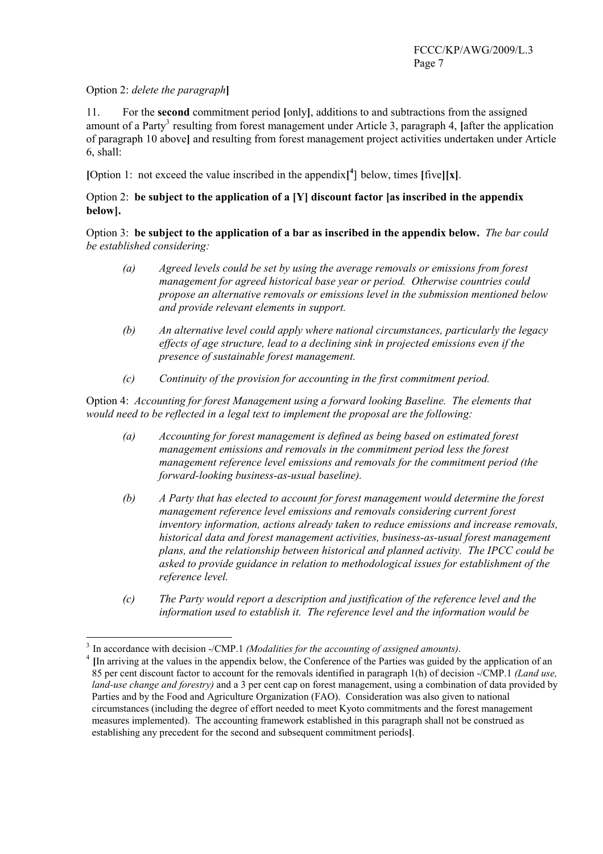## Option 2: *delete the paragraph***]**

11. For the **second** commitment period **[**only**]**, additions to and subtractions from the assigned amount of a Party<sup>3</sup> resulting from forest management under Article 3, paragraph 4, [after the application of paragraph 10 above**]** and resulting from forest management project activities undertaken under Article 6, shall:

**[Option 1:** not exceed the value inscribed in the appendix<sup>[4</sup>] below, times [five][**x**].

#### Option 2: **be subject to the application of a [Y] discount factor [as inscribed in the appendix below].**

Option 3:**be subject to the application of a bar as inscribed in the appendix below.** *The bar could be established considering:* 

- *(a) Agreed levels could be set by using the average removals or emissions from forest management for agreed historical base year or period. Otherwise countries could propose an alternative removals or emissions level in the submission mentioned below and provide relevant elements in support.*
- *(b) An alternative level could apply where national circumstances, particularly the legacy effects of age structure, lead to a declining sink in projected emissions even if the presence of sustainable forest management.*
- *(c) Continuity of the provision for accounting in the first commitment period.*

Option 4: *Accounting for forest Management using a forward looking Baseline. The elements that would need to be reflected in a legal text to implement the proposal are the following:* 

- *(a) Accounting for forest management is defined as being based on estimated forest management emissions and removals in the commitment period less the forest management reference level emissions and removals for the commitment period (the forward-looking business-as-usual baseline).*
- *(b) A Party that has elected to account for forest management would determine the forest management reference level emissions and removals considering current forest inventory information, actions already taken to reduce emissions and increase removals, historical data and forest management activities, business-as-usual forest management plans, and the relationship between historical and planned activity. The IPCC could be asked to provide guidance in relation to methodological issues for establishment of the reference level.*
- *(c) The Party would report a description and justification of the reference level and the information used to establish it. The reference level and the information would be*

<sup>&</sup>lt;sup>3</sup> In accordance with decision  $-CMP.1$  *(Modalities for the accounting of assigned amounts)*.

**<sup>[</sup>**In arriving at the values in the appendix below, the Conference of the Parties was guided by the application of an 85 per cent discount factor to account for the removals identified in paragraph 1(h) of decision -/CMP.1 *(Land use, land-use change and forestry)* and a 3 per cent cap on forest management, using a combination of data provided by Parties and by the Food and Agriculture Organization (FAO). Consideration was also given to national circumstances (including the degree of effort needed to meet Kyoto commitments and the forest management measures implemented). The accounting framework established in this paragraph shall not be construed as establishing any precedent for the second and subsequent commitment periods**]**.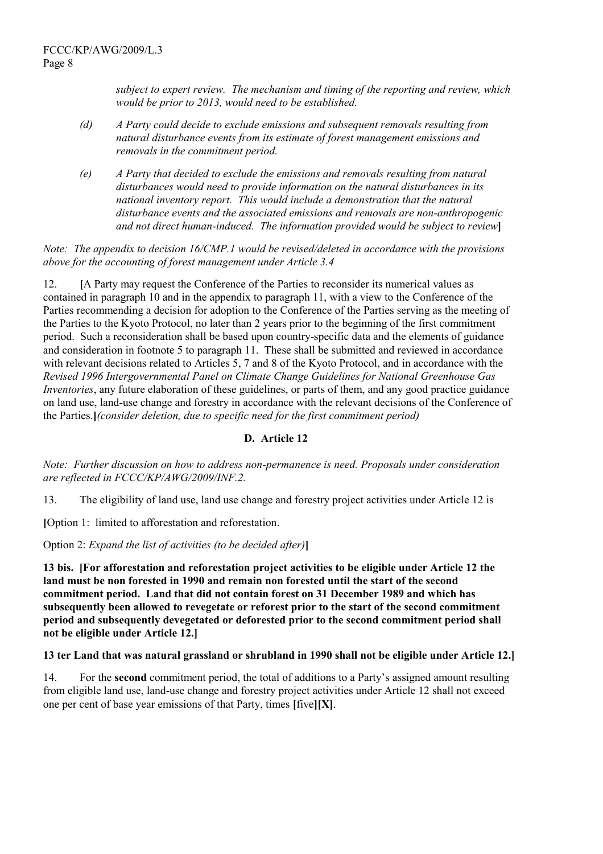*subject to expert review. The mechanism and timing of the reporting and review, which would be prior to 2013, would need to be established.* 

- *(d) A Party could decide to exclude emissions and subsequent removals resulting from natural disturbance events from its estimate of forest management emissions and removals in the commitment period.*
- *(e) A Party that decided to exclude the emissions and removals resulting from natural disturbances would need to provide information on the natural disturbances in its national inventory report. This would include a demonstration that the natural disturbance events and the associated emissions and removals are non-anthropogenic and not direct human-induced. The information provided would be subject to review***]**

*Note: The appendix to decision 16/CMP.1 would be revised/deleted in accordance with the provisions above for the accounting of forest management under Article 3.4* 

12. **[**A Party may request the Conference of the Parties to reconsider its numerical values as contained in paragraph 10 and in the appendix to paragraph 11, with a view to the Conference of the Parties recommending a decision for adoption to the Conference of the Parties serving as the meeting of the Parties to the Kyoto Protocol, no later than 2 years prior to the beginning of the first commitment period. Such a reconsideration shall be based upon country-specific data and the elements of guidance and consideration in footnote 5 to paragraph 11. These shall be submitted and reviewed in accordance with relevant decisions related to Articles 5, 7 and 8 of the Kyoto Protocol, and in accordance with the *Revised 1996 Intergovernmental Panel on Climate Change Guidelines for National Greenhouse Gas Inventories*, any future elaboration of these guidelines, or parts of them, and any good practice guidance on land use, land-use change and forestry in accordance with the relevant decisions of the Conference of the Parties.**]***(consider deletion, due to specific need for the first commitment period)* 

## **D. Article 12**

*Note: Further discussion on how to address non-permanence is need. Proposals under consideration are reflected in FCCC/KP/AWG/2009/INF.2.* 

13. The eligibility of land use, land use change and forestry project activities under Article 12 is

**[**Option 1: limited to afforestation and reforestation.

Option 2: *Expand the list of activities (to be decided after)***]** 

**13 bis. [For afforestation and reforestation project activities to be eligible under Article 12 the land must be non forested in 1990 and remain non forested until the start of the second commitment period. Land that did not contain forest on 31 December 1989 and which has subsequently been allowed to revegetate or reforest prior to the start of the second commitment period and subsequently devegetated or deforested prior to the second commitment period shall not be eligible under Article 12.]** 

#### **13 ter Land that was natural grassland or shrubland in 1990 shall not be eligible under Article 12.]**

14. For the **second** commitment period, the total of additions to a Partyís assigned amount resulting from eligible land use, land-use change and forestry project activities under Article 12 shall not exceed one per cent of base year emissions of that Party, times **[**five**][X]**.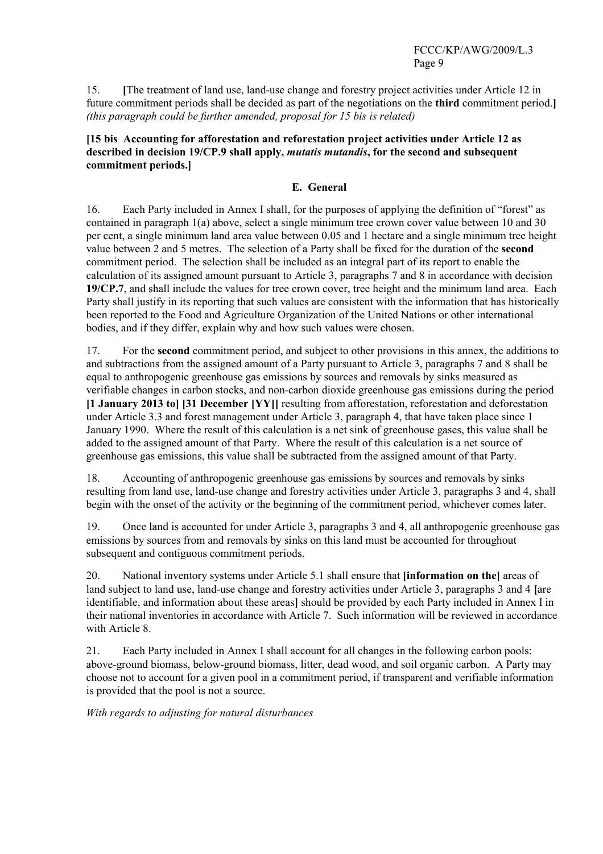15. **[**The treatment of land use, land-use change and forestry project activities under Article 12 in future commitment periods shall be decided as part of the negotiations on the **third** commitment period.**]**  *(this paragraph could be further amended, proposal for 15 bis is related)*

### **[15 bis Accounting for afforestation and reforestation project activities under Article 12 as described in decision 19/CP.9 shall apply,** *mutatis mutandis***, for the second and subsequent commitment periods.]**

## **E. General**

16. Each Party included in Annex I shall, for the purposes of applying the definition of "forest" as contained in paragraph 1(a) above, select a single minimum tree crown cover value between 10 and 30 per cent, a single minimum land area value between 0.05 and 1 hectare and a single minimum tree height value between 2 and 5 metres. The selection of a Party shall be fixed for the duration of the **second** commitment period. The selection shall be included as an integral part of its report to enable the calculation of its assigned amount pursuant to Article 3, paragraphs 7 and 8 in accordance with decision **19/CP.7**, and shall include the values for tree crown cover, tree height and the minimum land area. Each Party shall justify in its reporting that such values are consistent with the information that has historically been reported to the Food and Agriculture Organization of the United Nations or other international bodies, and if they differ, explain why and how such values were chosen.

17. For the **second** commitment period, and subject to other provisions in this annex, the additions to and subtractions from the assigned amount of a Party pursuant to Article 3, paragraphs 7 and 8 shall be equal to anthropogenic greenhouse gas emissions by sources and removals by sinks measured as verifiable changes in carbon stocks, and non-carbon dioxide greenhouse gas emissions during the period **[1 January 2013 to] [31 December [YY]]** resulting from afforestation, reforestation and deforestation under Article 3.3 and forest management under Article 3, paragraph 4, that have taken place since 1 January 1990. Where the result of this calculation is a net sink of greenhouse gases, this value shall be added to the assigned amount of that Party. Where the result of this calculation is a net source of greenhouse gas emissions, this value shall be subtracted from the assigned amount of that Party.

18. Accounting of anthropogenic greenhouse gas emissions by sources and removals by sinks resulting from land use, land-use change and forestry activities under Article 3, paragraphs 3 and 4, shall begin with the onset of the activity or the beginning of the commitment period, whichever comes later.

19. Once land is accounted for under Article 3, paragraphs 3 and 4, all anthropogenic greenhouse gas emissions by sources from and removals by sinks on this land must be accounted for throughout subsequent and contiguous commitment periods.

20. National inventory systems under Article 5.1 shall ensure that **[information on the]** areas of land subject to land use, land-use change and forestry activities under Article 3, paragraphs 3 and 4 **[**are identifiable, and information about these areas**]** should be provided by each Party included in Annex I in their national inventories in accordance with Article 7. Such information will be reviewed in accordance with Article 8

21. Each Party included in Annex I shall account for all changes in the following carbon pools: above-ground biomass, below-ground biomass, litter, dead wood, and soil organic carbon. A Party may choose not to account for a given pool in a commitment period, if transparent and verifiable information is provided that the pool is not a source.

*With regards to adjusting for natural disturbances*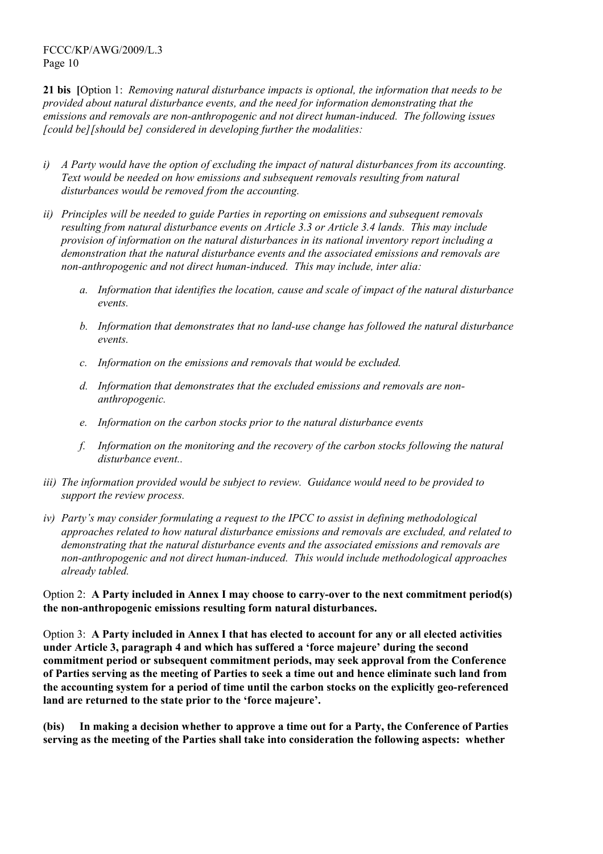**21 bis [**Option 1: *Removing natural disturbance impacts is optional, the information that needs to be provided about natural disturbance events, and the need for information demonstrating that the emissions and removals are non-anthropogenic and not direct human-induced. The following issues [could be][should be] considered in developing further the modalities:* 

- *i) A Party would have the option of excluding the impact of natural disturbances from its accounting. Text would be needed on how emissions and subsequent removals resulting from natural disturbances would be removed from the accounting.*
- *ii) Principles will be needed to guide Parties in reporting on emissions and subsequent removals resulting from natural disturbance events on Article 3.3 or Article 3.4 lands. This may include provision of information on the natural disturbances in its national inventory report including a demonstration that the natural disturbance events and the associated emissions and removals are non-anthropogenic and not direct human-induced. This may include, inter alia:* 
	- *a. Information that identifies the location, cause and scale of impact of the natural disturbance events.*
	- *b. Information that demonstrates that no land-use change has followed the natural disturbance events.*
	- *c. Information on the emissions and removals that would be excluded.*
	- *d. Information that demonstrates that the excluded emissions and removals are nonanthropogenic.*
	- *e. Information on the carbon stocks prior to the natural disturbance events*
	- *f. Information on the monitoring and the recovery of the carbon stocks following the natural disturbance event..*
- *iii) The information provided would be subject to review. Guidance would need to be provided to support the review process.*
- *iv) Partyís may consider formulating a request to the IPCC to assist in defining methodological approaches related to how natural disturbance emissions and removals are excluded, and related to demonstrating that the natural disturbance events and the associated emissions and removals are non-anthropogenic and not direct human-induced. This would include methodological approaches already tabled.*

Option 2: **A Party included in Annex I may choose to carry-over to the next commitment period(s) the non-anthropogenic emissions resulting form natural disturbances.** 

Option 3: **A Party included in Annex I that has elected to account for any or all elected activities**  under Article 3, paragraph 4 and which has suffered a 'force majeure' during the second **commitment period or subsequent commitment periods, may seek approval from the Conference of Parties serving as the meeting of Parties to seek a time out and hence eliminate such land from the accounting system for a period of time until the carbon stocks on the explicitly geo-referenced**  land are returned to the state prior to the 'force majeure'.

**(bis) In making a decision whether to approve a time out for a Party, the Conference of Parties serving as the meeting of the Parties shall take into consideration the following aspects: whether**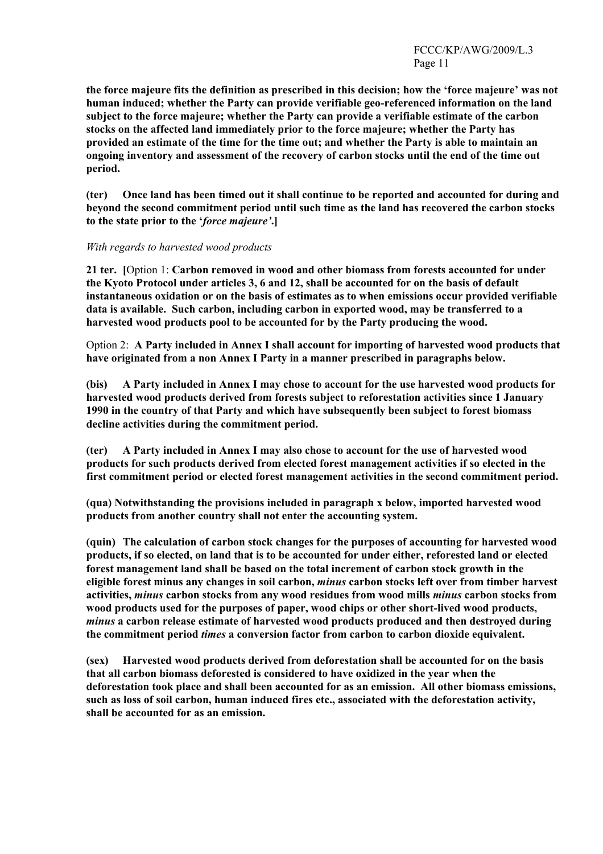**the force majeure fits the definition as prescribed in this decision; how the ëforce majeureí was not human induced; whether the Party can provide verifiable geo-referenced information on the land subject to the force majeure; whether the Party can provide a verifiable estimate of the carbon stocks on the affected land immediately prior to the force majeure; whether the Party has provided an estimate of the time for the time out; and whether the Party is able to maintain an ongoing inventory and assessment of the recovery of carbon stocks until the end of the time out period.** 

**(ter) Once land has been timed out it shall continue to be reported and accounted for during and beyond the second commitment period until such time as the land has recovered the carbon stocks**  to the state prior to the '*force majeure'*.]

#### *With regards to harvested wood products*

**21 ter. [**Option 1: **Carbon removed in wood and other biomass from forests accounted for under the Kyoto Protocol under articles 3, 6 and 12, shall be accounted for on the basis of default instantaneous oxidation or on the basis of estimates as to when emissions occur provided verifiable data is available. Such carbon, including carbon in exported wood, may be transferred to a harvested wood products pool to be accounted for by the Party producing the wood.** 

Option 2: **A Party included in Annex I shall account for importing of harvested wood products that have originated from a non Annex I Party in a manner prescribed in paragraphs below.** 

**(bis) A Party included in Annex I may chose to account for the use harvested wood products for harvested wood products derived from forests subject to reforestation activities since 1 January 1990 in the country of that Party and which have subsequently been subject to forest biomass decline activities during the commitment period.** 

**(ter) A Party included in Annex I may also chose to account for the use of harvested wood products for such products derived from elected forest management activities if so elected in the first commitment period or elected forest management activities in the second commitment period.** 

**(qua) Notwithstanding the provisions included in paragraph x below, imported harvested wood products from another country shall not enter the accounting system.** 

**(quin) The calculation of carbon stock changes for the purposes of accounting for harvested wood products, if so elected, on land that is to be accounted for under either, reforested land or elected forest management land shall be based on the total increment of carbon stock growth in the eligible forest minus any changes in soil carbon,** *minus* **carbon stocks left over from timber harvest activities,** *minus* **carbon stocks from any wood residues from wood mills** *minus* **carbon stocks from wood products used for the purposes of paper, wood chips or other short-lived wood products,**  *minus* **a carbon release estimate of harvested wood products produced and then destroyed during the commitment period** *times* **a conversion factor from carbon to carbon dioxide equivalent.** 

**(sex) Harvested wood products derived from deforestation shall be accounted for on the basis that all carbon biomass deforested is considered to have oxidized in the year when the deforestation took place and shall been accounted for as an emission. All other biomass emissions, such as loss of soil carbon, human induced fires etc., associated with the deforestation activity, shall be accounted for as an emission.**